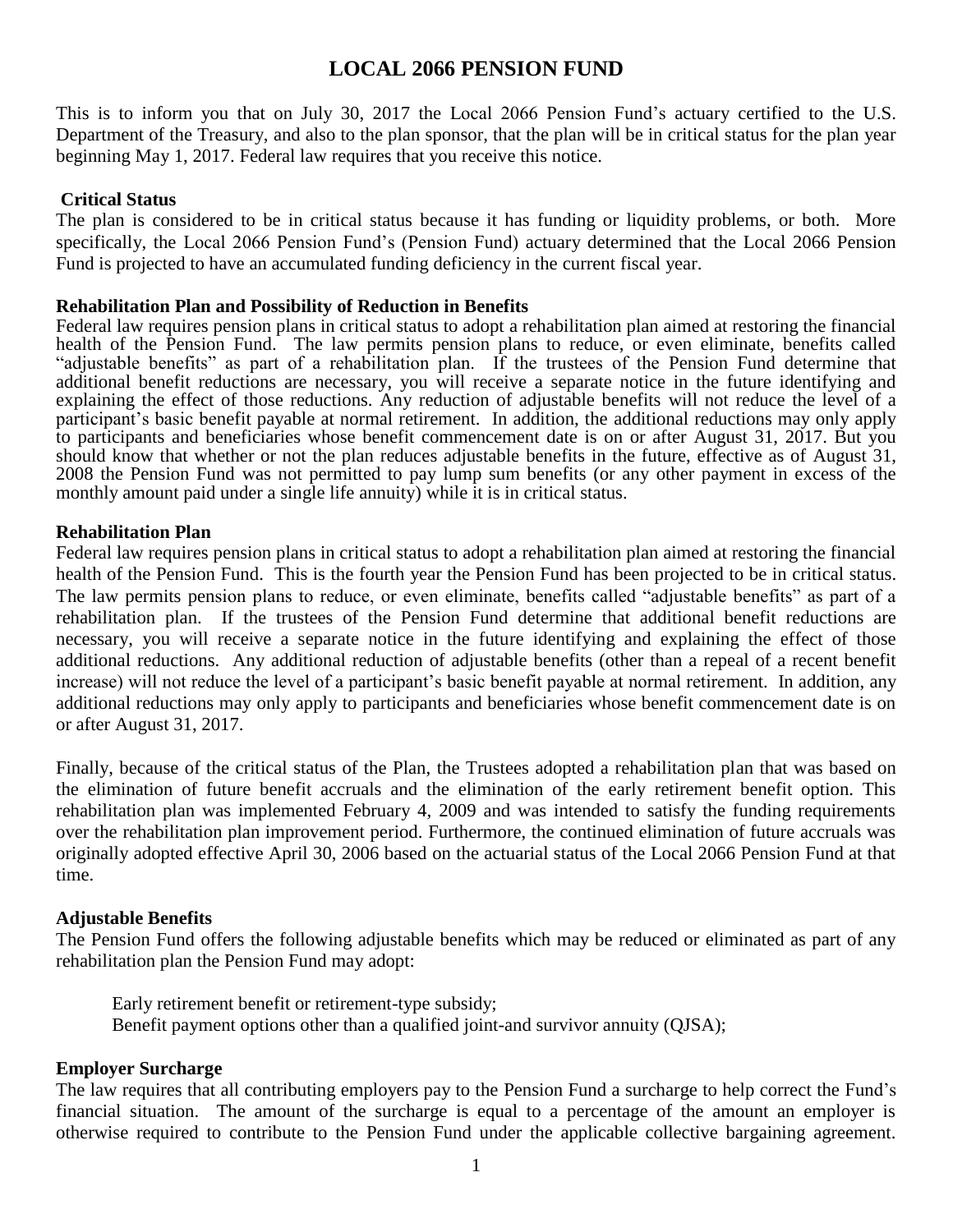## **LOCAL 2066 PENSION FUND**

This is to inform you that on July 30, 2017 the Local 2066 Pension Fund's actuary certified to the U.S. Department of the Treasury, and also to the plan sponsor, that the plan will be in critical status for the plan year beginning May 1, 2017. Federal law requires that you receive this notice.

## **Critical Status**

The plan is considered to be in critical status because it has funding or liquidity problems, or both. More specifically, the Local 2066 Pension Fund's (Pension Fund) actuary determined that the Local 2066 Pension Fund is projected to have an accumulated funding deficiency in the current fiscal year.

### **Rehabilitation Plan and Possibility of Reduction in Benefits**

Federal law requires pension plans in critical status to adopt a rehabilitation plan aimed at restoring the financial health of the Pension Fund. The law permits pension plans to reduce, or even eliminate, benefits called "adjustable benefits" as part of a rehabilitation plan. If the trustees of the Pension Fund determine that additional benefit reductions are necessary, you will receive a separate notice in the future identifying and explaining the effect of those reductions. Any reduction of adjustable benefits will not reduce the level of a participant's basic benefit payable at normal retirement. In addition, the additional reductions may only apply to participants and beneficiaries whose benefit commencement date is on or after August 31, 2017. But you should know that whether or not the plan reduces adjustable benefits in the future, effective as of August 31, 2008 the Pension Fund was not permitted to pay lump sum benefits (or any other payment in excess of the monthly amount paid under a single life annuity) while it is in critical status.

## **Rehabilitation Plan**

Federal law requires pension plans in critical status to adopt a rehabilitation plan aimed at restoring the financial health of the Pension Fund. This is the fourth year the Pension Fund has been projected to be in critical status. The law permits pension plans to reduce, or even eliminate, benefits called "adjustable benefits" as part of a rehabilitation plan. If the trustees of the Pension Fund determine that additional benefit reductions are necessary, you will receive a separate notice in the future identifying and explaining the effect of those additional reductions. Any additional reduction of adjustable benefits (other than a repeal of a recent benefit increase) will not reduce the level of a participant's basic benefit payable at normal retirement. In addition, any additional reductions may only apply to participants and beneficiaries whose benefit commencement date is on or after August 31, 2017.

Finally, because of the critical status of the Plan, the Trustees adopted a rehabilitation plan that was based on the elimination of future benefit accruals and the elimination of the early retirement benefit option. This rehabilitation plan was implemented February 4, 2009 and was intended to satisfy the funding requirements over the rehabilitation plan improvement period. Furthermore, the continued elimination of future accruals was originally adopted effective April 30, 2006 based on the actuarial status of the Local 2066 Pension Fund at that time.

### **Adjustable Benefits**

The Pension Fund offers the following adjustable benefits which may be reduced or eliminated as part of any rehabilitation plan the Pension Fund may adopt:

Early retirement benefit or retirement-type subsidy; Benefit payment options other than a qualified joint-and survivor annuity (QJSA);

### **Employer Surcharge**

The law requires that all contributing employers pay to the Pension Fund a surcharge to help correct the Fund's financial situation. The amount of the surcharge is equal to a percentage of the amount an employer is otherwise required to contribute to the Pension Fund under the applicable collective bargaining agreement.